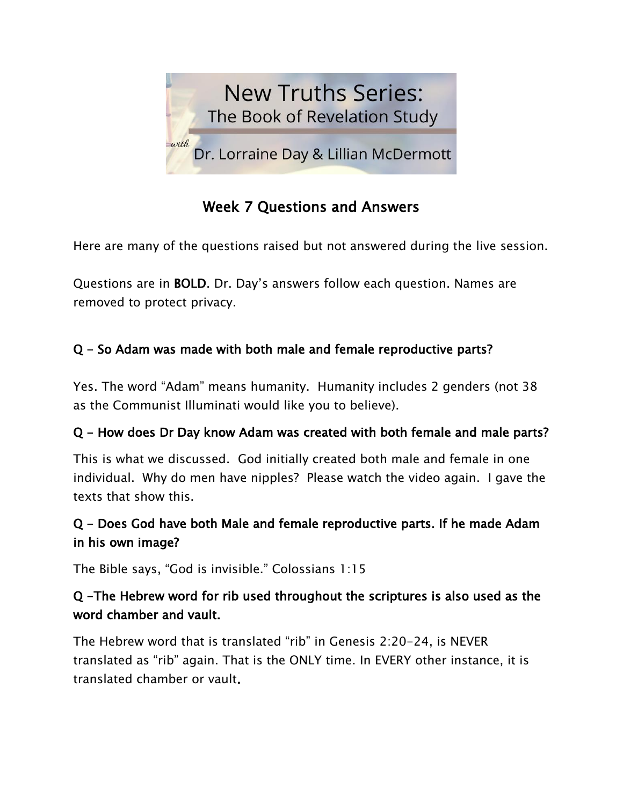

# Week 7 Questions and Answers

Here are many of the questions raised but not answered during the live session.

Questions are in BOLD. Dr. Day's answers follow each question. Names are removed to protect privacy.

### Q - So Adam was made with both male and female reproductive parts?

Yes. The word "Adam" means humanity. Humanity includes 2 genders (not 38 as the Communist Illuminati would like you to believe).

#### Q - How does Dr Day know Adam was created with both female and male parts?

This is what we discussed. God initially created both male and female in one individual. Why do men have nipples? Please watch the video again. I gave the texts that show this.

### Q - Does God have both Male and female reproductive parts. If he made Adam in his own image?

The Bible says, "God is invisible." Colossians 1:15

#### Q -The Hebrew word for rib used throughout the scriptures is also used as the word chamber and vault.

The Hebrew word that is translated "rib" in Genesis 2:20-24, is NEVER translated as "rib" again. That is the ONLY time. In EVERY other instance, it is translated chamber or vault.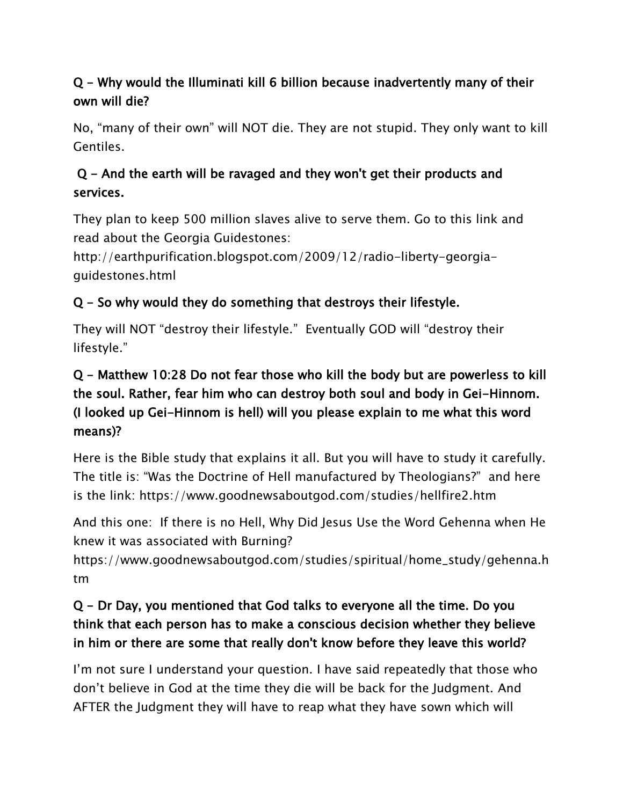## Q - Why would the Illuminati kill 6 billion because inadvertently many of their own will die?

No, "many of their own" will NOT die. They are not stupid. They only want to kill Gentiles.

## Q - And the earth will be ravaged and they won't get their products and services.

They plan to keep 500 million slaves alive to serve them. Go to this link and read about the Georgia Guidestones:

http://earthpurification.blogspot.com/2009/12/radio-liberty-georgiaguidestones.html

### Q - So why would they do something that destroys their lifestyle.

They will NOT "destroy their lifestyle." Eventually GOD will "destroy their lifestyle."

## Q - Matthew 10:28 Do not fear those who kill the body but are powerless to kill the soul. Rather, fear him who can destroy both soul and body in Gei-Hinnom. (I looked up Gei-Hinnom is hell) will you please explain to me what this word means)?

Here is the Bible study that explains it all. But you will have to study it carefully. The title is: "Was the Doctrine of Hell manufactured by Theologians?" and here is the link: https://www.goodnewsaboutgod.com/studies/hellfire2.htm

And this one: If there is no Hell, Why Did Jesus Use the Word Gehenna when He knew it was associated with Burning?

https://www.goodnewsaboutgod.com/studies/spiritual/home\_study/gehenna.h tm

### Q - Dr Day, you mentioned that God talks to everyone all the time. Do you think that each person has to make a conscious decision whether they believe in him or there are some that really don't know before they leave this world?

I'm not sure I understand your question. I have said repeatedly that those who don't believe in God at the time they die will be back for the Judgment. And AFTER the Judgment they will have to reap what they have sown which will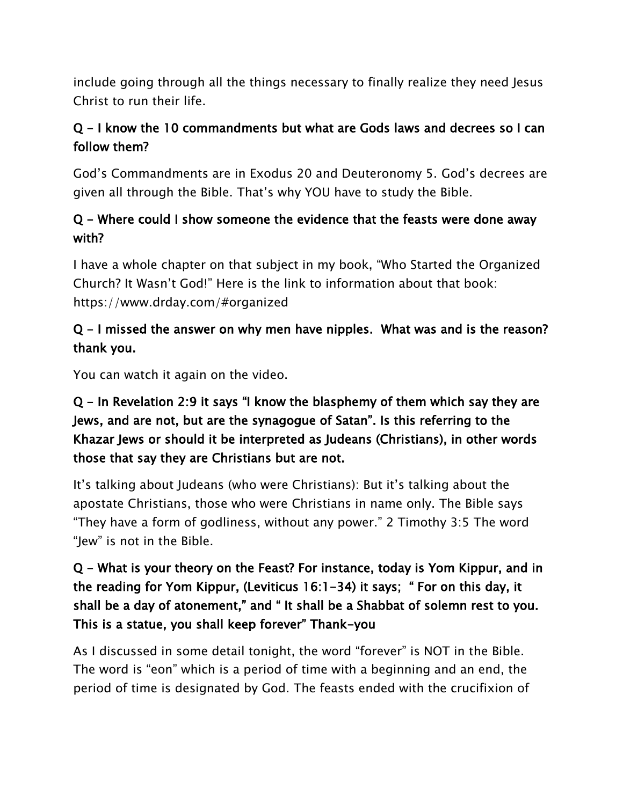include going through all the things necessary to finally realize they need Jesus Christ to run their life.

### Q - I know the 10 commandments but what are Gods laws and decrees so I can follow them?

God's Commandments are in Exodus 20 and Deuteronomy 5. God's decrees are given all through the Bible. That's why YOU have to study the Bible.

### Q - Where could I show someone the evidence that the feasts were done away with?

I have a whole chapter on that subject in my book, "Who Started the Organized Church? It Wasn't God!" Here is the link to information about that book: https://www.drday.com/#organized

### Q - I missed the answer on why men have nipples. What was and is the reason? thank you.

You can watch it again on the video.

## Q - In Revelation 2:9 it says "I know the blasphemy of them which say they are Jews, and are not, but are the synagogue of Satan". Is this referring to the Khazar Jews or should it be interpreted as Judeans (Christians), in other words those that say they are Christians but are not.

It's talking about Judeans (who were Christians): But it's talking about the apostate Christians, those who were Christians in name only. The Bible says "They have a form of godliness, without any power." 2 Timothy 3:5 The word "Jew" is not in the Bible.

## Q - What is your theory on the Feast? For instance, today is Yom Kippur, and in the reading for Yom Kippur, (Leviticus 16:1-34) it says; " For on this day, it shall be a day of atonement," and " It shall be a Shabbat of solemn rest to you. This is a statue, you shall keep forever" Thank-you

As I discussed in some detail tonight, the word "forever" is NOT in the Bible. The word is "eon" which is a period of time with a beginning and an end, the period of time is designated by God. The feasts ended with the crucifixion of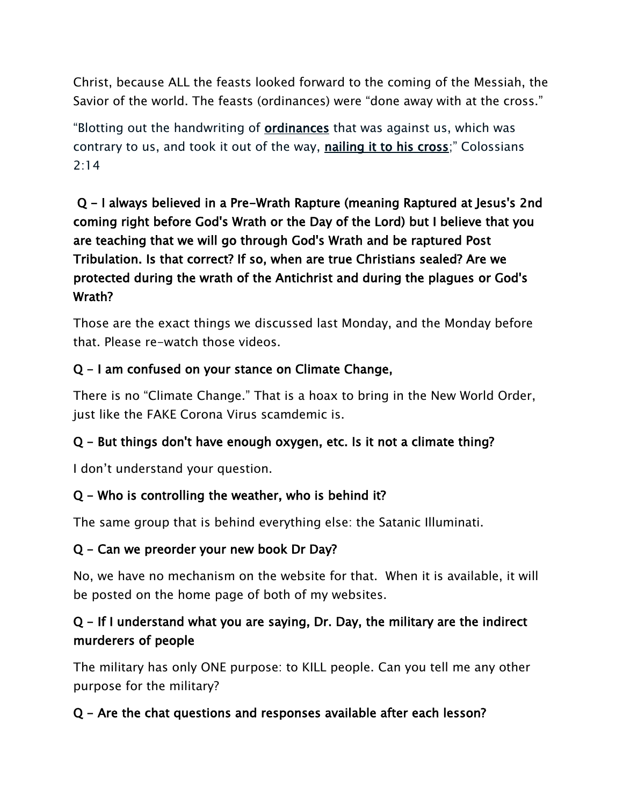Christ, because ALL the feasts looked forward to the coming of the Messiah, the Savior of the world. The feasts (ordinances) were "done away with at the cross."

"Blotting out the handwriting of ordinances that was against us, which was contrary to us, and took it out of the way, nailing it to his cross;" Colossians 2:14

 Q - I always believed in a Pre-Wrath Rapture (meaning Raptured at Jesus's 2nd coming right before God's Wrath or the Day of the Lord) but I believe that you are teaching that we will go through God's Wrath and be raptured Post Tribulation. Is that correct? If so, when are true Christians sealed? Are we protected during the wrath of the Antichrist and during the plagues or God's Wrath?

Those are the exact things we discussed last Monday, and the Monday before that. Please re-watch those videos.

### Q - I am confused on your stance on Climate Change,

There is no "Climate Change." That is a hoax to bring in the New World Order, just like the FAKE Corona Virus scamdemic is.

#### Q - But things don't have enough oxygen, etc. Is it not a climate thing?

I don't understand your question.

#### Q - Who is controlling the weather, who is behind it?

The same group that is behind everything else: the Satanic Illuminati.

#### Q - Can we preorder your new book Dr Day?

No, we have no mechanism on the website for that. When it is available, it will be posted on the home page of both of my websites.

### Q - If I understand what you are saying, Dr. Day, the military are the indirect murderers of people

The military has only ONE purpose: to KILL people. Can you tell me any other purpose for the military?

### Q - Are the chat questions and responses available after each lesson?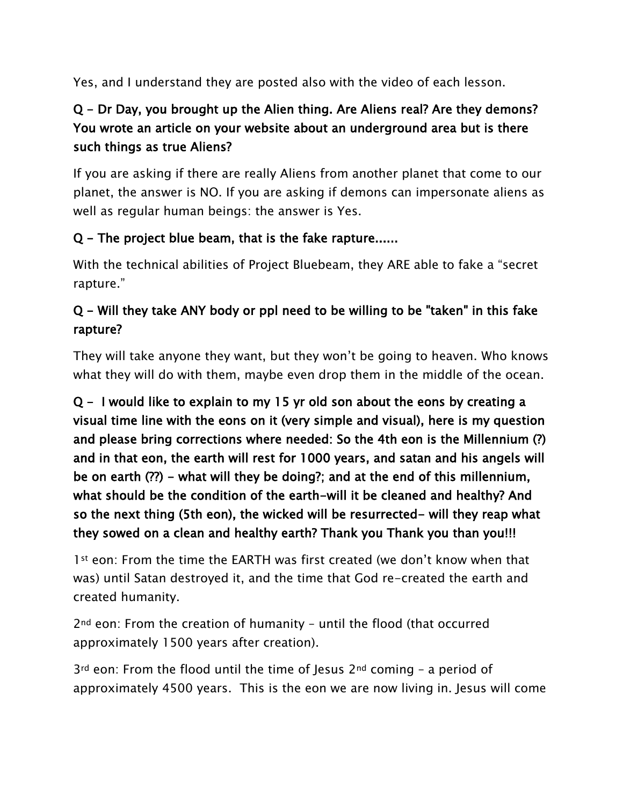Yes, and I understand they are posted also with the video of each lesson.

## Q - Dr Day, you brought up the Alien thing. Are Aliens real? Are they demons? You wrote an article on your website about an underground area but is there such things as true Aliens?

If you are asking if there are really Aliens from another planet that come to our planet, the answer is NO. If you are asking if demons can impersonate aliens as well as regular human beings: the answer is Yes.

### Q - The project blue beam, that is the fake rapture......

With the technical abilities of Project Bluebeam, they ARE able to fake a "secret rapture."

## Q - Will they take ANY body or ppl need to be willing to be "taken" in this fake rapture?

They will take anyone they want, but they won't be going to heaven. Who knows what they will do with them, maybe even drop them in the middle of the ocean.

## Q - I would like to explain to my 15 yr old son about the eons by creating a visual time line with the eons on it (very simple and visual), here is my question and please bring corrections where needed: So the 4th eon is the Millennium (?) and in that eon, the earth will rest for 1000 years, and satan and his angels will be on earth (??) - what will they be doing?; and at the end of this millennium, what should be the condition of the earth-will it be cleaned and healthy? And so the next thing (5th eon), the wicked will be resurrected- will they reap what they sowed on a clean and healthy earth? Thank you Thank you than you!!!

1<sup>st</sup> eon: From the time the EARTH was first created (we don't know when that was) until Satan destroyed it, and the time that God re-created the earth and created humanity.

2nd eon: From the creation of humanity – until the flood (that occurred approximately 1500 years after creation).

 $3<sup>rd</sup>$  eon: From the flood until the time of Jesus  $2<sup>nd</sup>$  coming - a period of approximately 4500 years. This is the eon we are now living in. Jesus will come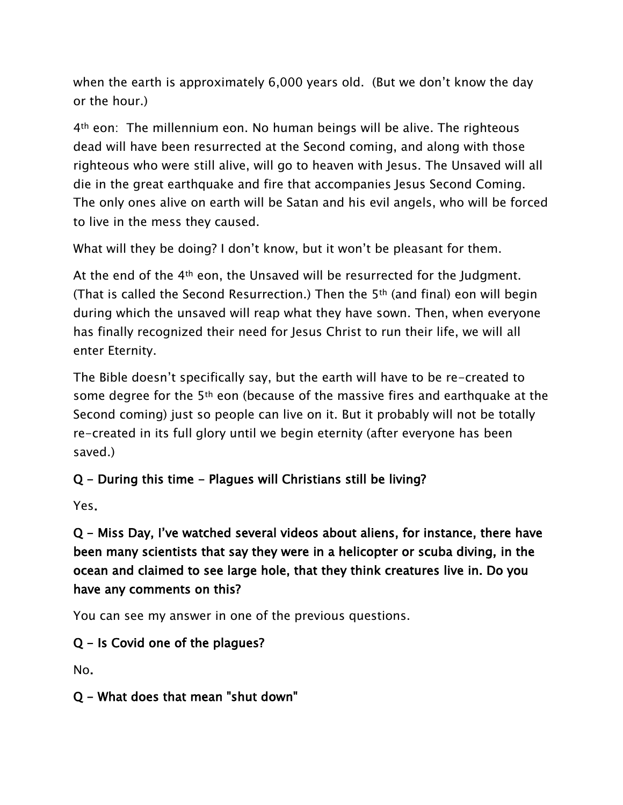when the earth is approximately 6,000 years old. (But we don't know the day or the hour.)

4th eon: The millennium eon. No human beings will be alive. The righteous dead will have been resurrected at the Second coming, and along with those righteous who were still alive, will go to heaven with Jesus. The Unsaved will all die in the great earthquake and fire that accompanies Jesus Second Coming. The only ones alive on earth will be Satan and his evil angels, who will be forced to live in the mess they caused.

What will they be doing? I don't know, but it won't be pleasant for them.

At the end of the 4th eon, the Unsaved will be resurrected for the Judgment. (That is called the Second Resurrection.) Then the 5th (and final) eon will begin during which the unsaved will reap what they have sown. Then, when everyone has finally recognized their need for Jesus Christ to run their life, we will all enter Eternity.

The Bible doesn't specifically say, but the earth will have to be re-created to some degree for the 5th eon (because of the massive fires and earthquake at the Second coming) just so people can live on it. But it probably will not be totally re-created in its full glory until we begin eternity (after everyone has been saved.)

#### Q - During this time - Plagues will Christians still be living?

Yes.

Q - Miss Day, I've watched several videos about aliens, for instance, there have been many scientists that say they were in a helicopter or scuba diving, in the ocean and claimed to see large hole, that they think creatures live in. Do you have any comments on this?

You can see my answer in one of the previous questions.

### Q - Is Covid one of the plagues?

No.

### Q - What does that mean "shut down"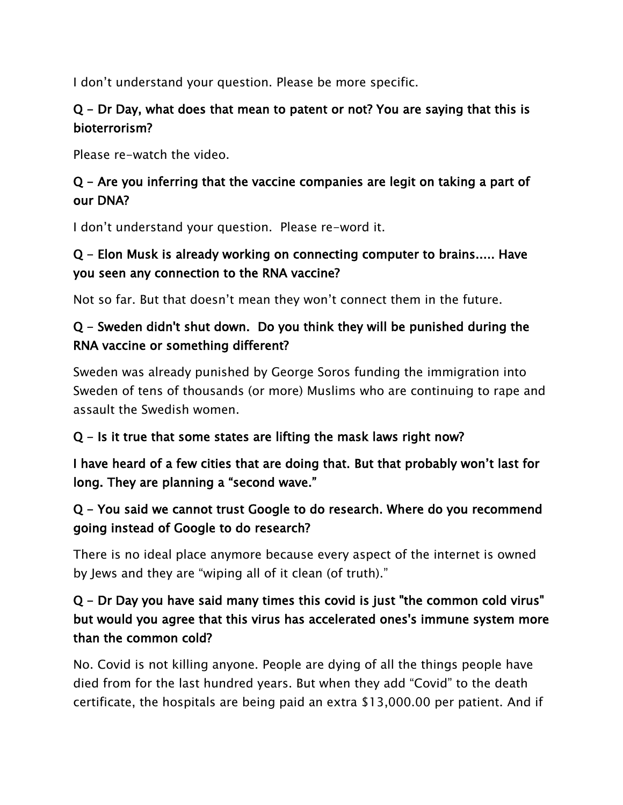I don't understand your question. Please be more specific.

### Q - Dr Day, what does that mean to patent or not? You are saying that this is bioterrorism?

Please re-watch the video.

### Q - Are you inferring that the vaccine companies are legit on taking a part of our DNA?

I don't understand your question. Please re-word it.

### Q - Elon Musk is already working on connecting computer to brains..... Have you seen any connection to the RNA vaccine?

Not so far. But that doesn't mean they won't connect them in the future.

### Q - Sweden didn't shut down. Do you think they will be punished during the RNA vaccine or something different?

Sweden was already punished by George Soros funding the immigration into Sweden of tens of thousands (or more) Muslims who are continuing to rape and assault the Swedish women.

#### $Q - Is$  it true that some states are lifting the mask laws right now?

I have heard of a few cities that are doing that. But that probably won't last for long. They are planning a "second wave."

### Q - You said we cannot trust Google to do research. Where do you recommend going instead of Google to do research?

There is no ideal place anymore because every aspect of the internet is owned by Jews and they are "wiping all of it clean (of truth)."

### Q - Dr Day you have said many times this covid is just "the common cold virus" but would you agree that this virus has accelerated ones's immune system more than the common cold?

No. Covid is not killing anyone. People are dying of all the things people have died from for the last hundred years. But when they add "Covid" to the death certificate, the hospitals are being paid an extra \$13,000.00 per patient. And if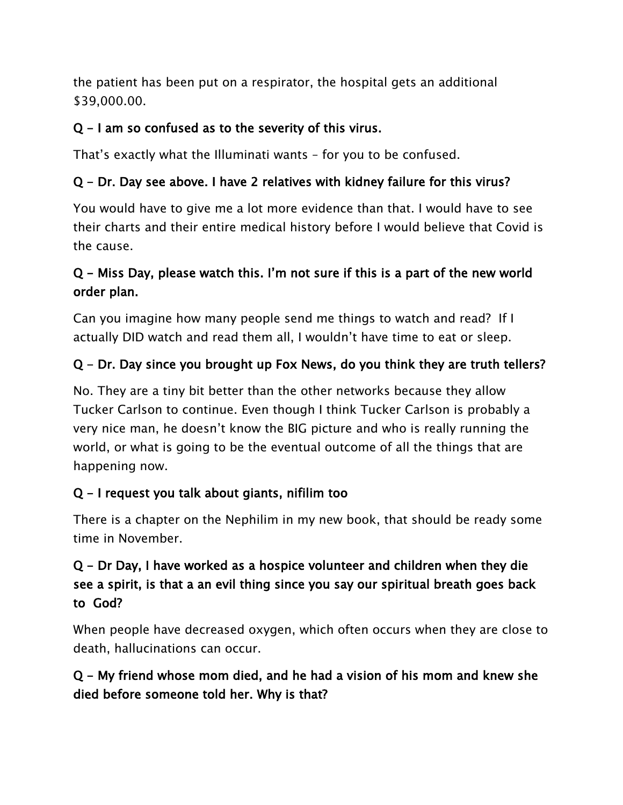the patient has been put on a respirator, the hospital gets an additional \$39,000.00.

#### $Q - I$  am so confused as to the severity of this virus.

That's exactly what the Illuminati wants – for you to be confused.

### Q - Dr. Day see above. I have 2 relatives with kidney failure for this virus?

You would have to give me a lot more evidence than that. I would have to see their charts and their entire medical history before I would believe that Covid is the cause.

### Q - Miss Day, please watch this. I'm not sure if this is a part of the new world order plan.

Can you imagine how many people send me things to watch and read? If I actually DID watch and read them all, I wouldn't have time to eat or sleep.

### Q - Dr. Day since you brought up Fox News, do you think they are truth tellers?

No. They are a tiny bit better than the other networks because they allow Tucker Carlson to continue. Even though I think Tucker Carlson is probably a very nice man, he doesn't know the BIG picture and who is really running the world, or what is going to be the eventual outcome of all the things that are happening now.

### Q - I request you talk about giants, nifilim too

There is a chapter on the Nephilim in my new book, that should be ready some time in November.

### Q - Dr Day, I have worked as a hospice volunteer and children when they die see a spirit, is that a an evil thing since you say our spiritual breath goes back to God?

When people have decreased oxygen, which often occurs when they are close to death, hallucinations can occur.

### Q - My friend whose mom died, and he had a vision of his mom and knew she died before someone told her. Why is that?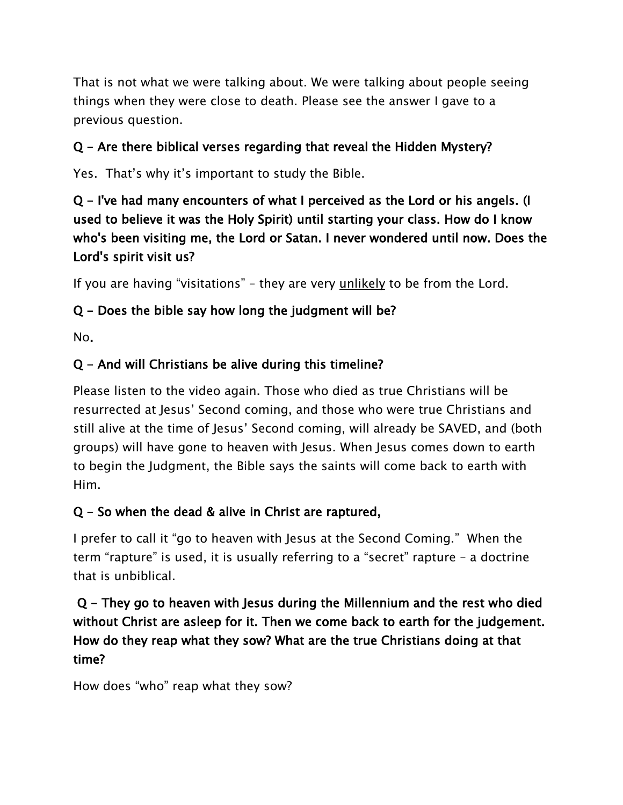That is not what we were talking about. We were talking about people seeing things when they were close to death. Please see the answer I gave to a previous question.

### Q - Are there biblical verses regarding that reveal the Hidden Mystery?

Yes. That's why it's important to study the Bible.

### Q - I've had many encounters of what I perceived as the Lord or his angels. (I used to believe it was the Holy Spirit) until starting your class. How do I know who's been visiting me, the Lord or Satan. I never wondered until now. Does the Lord's spirit visit us?

If you are having "visitations" – they are very *unlikely* to be from the Lord.

### Q - Does the bible say how long the judgment will be?

No.

### Q - And will Christians be alive during this timeline?

Please listen to the video again. Those who died as true Christians will be resurrected at Jesus' Second coming, and those who were true Christians and still alive at the time of Jesus' Second coming, will already be SAVED, and (both groups) will have gone to heaven with Jesus. When Jesus comes down to earth to begin the Judgment, the Bible says the saints will come back to earth with Him.

#### Q - So when the dead & alive in Christ are raptured,

I prefer to call it "go to heaven with Jesus at the Second Coming." When the term "rapture" is used, it is usually referring to a "secret" rapture – a doctrine that is unbiblical.

### Q - They go to heaven with Jesus during the Millennium and the rest who died without Christ are asleep for it. Then we come back to earth for the judgement. How do they reap what they sow? What are the true Christians doing at that time?

How does "who" reap what they sow?